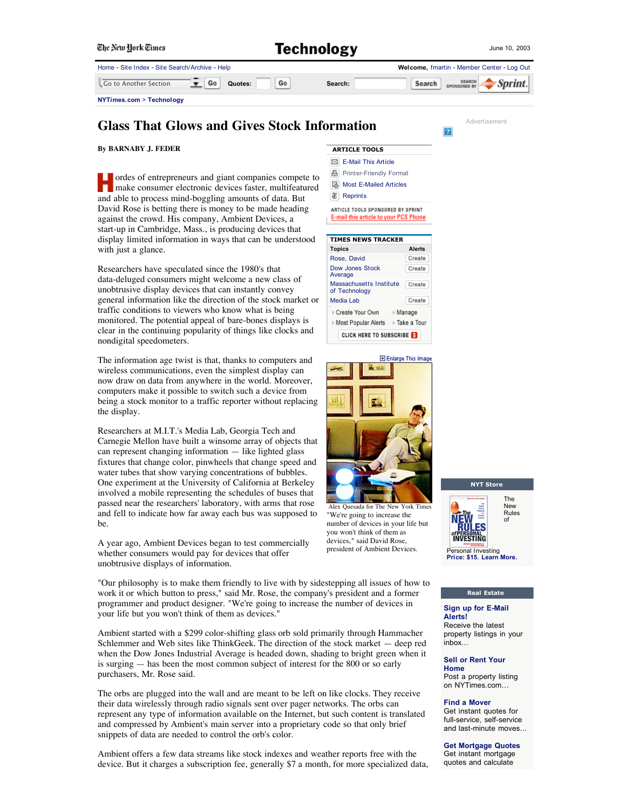| The New York Times                             | <b>Technology</b> |
|------------------------------------------------|-------------------|
| Home - Site Index - Site Search/Archive - Help |                   |

| Home - Site Index - Site Search/Archive - Help |         | Welcome, fmartin - Member Center - Log Out            |
|------------------------------------------------|---------|-------------------------------------------------------|
| Go<br>Go<br>Go to Another Section<br>Quotes:   | Search: | <b>SEARCH</b><br>  Sprint. <br>Search<br>SPONSORED BY |
| NYTimes.com > Technology                       |         |                                                       |

# **Glass That Glows and Gives Stock Information**

**Advertisement** 

 $\overline{?}$ 

### **By BARNABY J. FEDER**

ordes of entrepreneurs and giant companies compete to make consumer electronic devices faster, multifeatured and able to process mind-boggling amounts of data. But David Rose is betting there is money to be made heading against the crowd. His company, Ambient Devices, a start-up in Cambridge, Mass., is producing devices that display limited information in ways that can be understood with just a glance.

Researchers have speculated since the 1980's that data-deluged consumers might welcome a new class of unobtrusive display devices that can instantly convey general information like the direction of the stock market or traffic conditions to viewers who know what is being monitored. The potential appeal of bare-bones displays is clear in the continuing popularity of things like clocks and nondigital speedometers.

The information age twist is that, thanks to computers and wireless communications, even the simplest display can now draw on data from anywhere in the world. Moreover, computers make it possible to switch such a device from being a stock monitor to a traffic reporter without replacing the display.

Researchers at M.I.T.'s Media Lab, Georgia Tech and Carnegie Mellon have built a winsome array of objects that can represent changing information — like lighted glass fixtures that change color, pinwheels that change speed and water tubes that show varying concentrations of bubbles. One experiment at the University of California at Berkeley involved a mobile representing the schedules of buses that passed near the researchers' laboratory, with arms that rose and fell to indicate how far away each bus was supposed to be.

A year ago, Ambient Devices began to test commercially whether consumers would pay for devices that offer unobtrusive displays of information.

"Our philosophy is to make them friendly to live with by sidestepping all issues of how to work it or which button to press," said Mr. Rose, the company's president and a former programmer and product designer. "We're going to increase the number of devices in your life but you won't think of them as devices."

Ambient started with a \$299 color-shifting glass orb sold primarily through Hammacher Schlemmer and Web sites like ThinkGeek. The direction of the stock market — deep red when the Dow Jones Industrial Average is headed down, shading to bright green when it is surging — has been the most common subject of interest for the 800 or so early purchasers, Mr. Rose said.

The orbs are plugged into the wall and are meant to be left on like clocks. They receive their data wirelessly through radio signals sent over pager networks. The orbs can represent any type of information available on the Internet, but such content is translated and compressed by Ambient's main server into a proprietary code so that only brief snippets of data are needed to control the orb's color.

Ambient offers a few data streams like stock indexes and weather reports free with the device. But it charges a subscription fee, generally \$7 a month, for more specialized data,







Alex Quesada for The New York Time "We're going to increase the number of devices in your life but you won't think of them as devices," said David Rose, president of Ambient Devices.



#### **Real Estate**

**Sign up for E-Mail Alerts!** Receive the latest property listings in your inbox...

**Sell or Rent Your Home** Post a property listing

on NYTimes.com…

#### **Find a Mover**

Get instant quotes for full-service, self-service and last-minute moves...

## **Get Mortgage Quotes**

Get instant mortgage quotes and calculate